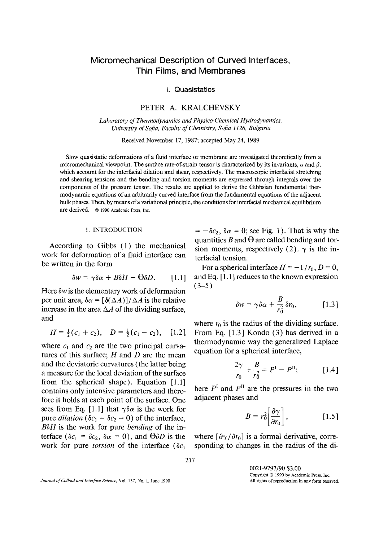# Micromechanical Description of Curved Interfaces, Thin Films, and Membranes

I. Quasistatics

## PETER A. KRALCHEVSKY

*Laboratory of Thermodynamics and Physico-Chemical Hydrodynamics, University of Sofia, Faculty of Chemistry, Sofia 1126, Bulgaria* 

Received November 17, 1987; accepted May 24, 1989

Slow quasistatic deformations of a fluid interface or membrane are investigated theoretically from a micromechanical viewpoint. The surface rate-of-strain tensor is characterized by its invariants,  $\alpha$  and  $\beta$ , which account for the interfacial dilation and shear, respectively. The macroscopic interfacial stretching and shearing tensions and the bending and torsion moments are expressed through integrals over the components of the pressure tensor. The results are applied to derive the Gibbsian fundamental thermodynamic equations of an arbitrarily curved interface from the fundamental equations of the adjacent bulk phases. Then, by means of a variational principle, the conditions for interfacial mechanical equilibrium are derived. © 1990 Academic Press, Inc.

#### 1. INTRODUCTION

According to Gibbs (1) the mechanical work for deformation of a fluid interface can be written in the form

$$
\delta w = \gamma \delta \alpha + B \delta H + \Theta \delta D. \qquad [1.1]
$$

Here *6w* is the elementary work of deformation per unit area,  $\delta \alpha = [\delta(\Delta A)]/\Delta A$  is the relative increase in the area  $\Delta A$  of the dividing surface, and

$$
H = \frac{1}{2}(c_1 + c_2), \quad D = \frac{1}{2}(c_1 - c_2), \quad [1.2]
$$

where  $c_1$  and  $c_2$  are the two principal curvatures of this surface;  $H$  and  $D$  are the mean and the deviatoric curvatures (the latter being a measure for the local deviation of the surface from the spherical shape). Equation  $[1.1]$ contains only intensive parameters and therefore it holds at each point of the surface. One sees from Eq. [1.1] that  $\gamma \delta \alpha$  is the work for pure *dilation* ( $\delta c_1 = \delta c_2 = 0$ ) of the interface, *B6H* is the work for pure *bending* of the interface ( $\delta c_1 = \delta c_2$ ,  $\delta \alpha = 0$ ), and  $\Theta \delta D$  is the work for pure *torsion* of the interface  $(\delta c_1)$ 

 $= -\delta c_2$ ,  $\delta \alpha = 0$ ; see Fig. 1). That is why the quantities B and  $\Theta$  are called bending and torsion moments, respectively (2).  $\gamma$  is the interfacial tension.

For a spherical interface  $H = -1/r_0$ ,  $D = 0$ , and Eq. [ 1.1 ] reduces to the known expression  $(3-5)$ 

$$
\delta w = \gamma \delta \alpha + \frac{B}{r_0^2} \delta r_0, \qquad [1.3]
$$

where  $r_0$  is the radius of the dividing surface. From Eq. [1.3] Kondo (3) has derived in a thermodynamic way the generalized Laplace equation for a spherical interface,

$$
\frac{2\gamma}{r_0} + \frac{B}{r_0^2} = P^{\rm I} - P^{\rm II};\tag{1.4}
$$

here  $P<sup>I</sup>$  and  $P<sup>II</sup>$  are the pressures in the two adjacent phases and

$$
B = r_0^2 \left[ \frac{\partial \gamma}{\partial r_0} \right], \qquad [1.5]
$$

where  $\left[\frac{\partial \gamma}{\partial r_0}\right]$  is a formal derivative, corresponding to changes in the radius of the di-

*Journal of Colloid and Interface Science,* Vol. 137, No. 1, June 1990

0021-9797/90 \$3.00 Copyright © 1990 by Academic Press, inc. All rights of reproduction in any form reserved.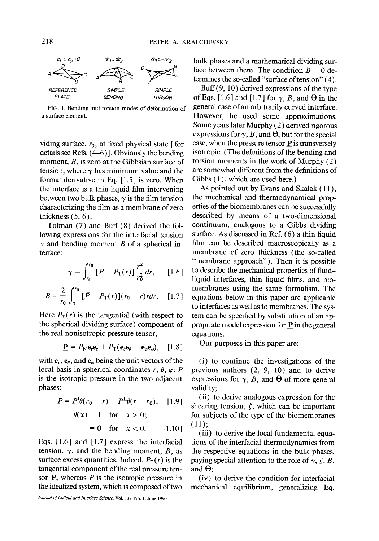

FIG. 1. Bending and torsion modes of deformation of a surface element.

viding surface,  $r_0$ , at fixed physical state [ for details see Refs. (4-6)]. Obviously the bending moment, B, is zero at the Gibbsian surface of tension, where  $\gamma$  has minimum value and the formal derivative in Eq. [1.5] is zero. When the interface is a thin liquid film intervening between two bulk phases,  $\gamma$  is the film tension characterizing the film as a membrane of zero thickness  $(5, 6)$ .

Tolman (7) and Buff (8) derived the following expressions for the interfacial tension  $\gamma$  and bending moment B of a spherical interface:

$$
\gamma = \int_{r_1}^{r_{\rm II}} \left[ \bar{P} - P_{\rm T}(r) \right] \frac{r^2}{r_0^2} \, dr, \qquad [1.6]
$$

$$
B = \frac{2}{r_0} \int_{r_1}^{r_{\text{II}}} \left[ \bar{P} - P_{\text{T}}(r) \right] (r_0 - r) r dr. \quad [1.7]
$$

Here  $P_T(r)$  is the tangential (with respect to the spherical dividing surface) component of the real nonisotropic pressure tensor,

$$
\mathbf{P} = P_{\mathbf{N}} \mathbf{e}_r \mathbf{e}_r + P_{\mathbf{T}} (\mathbf{e}_\theta \mathbf{e}_\theta + \mathbf{e}_\varphi \mathbf{e}_\varphi), \quad [1.8]
$$

with  $e_r$ ,  $e_\theta$ , and  $e_\varphi$  being the unit vectors of the local basis in spherical coordinates  $r, \theta, \varphi; \overline{P}$ is the isotropic pressure in the two adjacent phases:

$$
\bar{P} = P^{1}\theta(r_{0} - r) + P^{II}\theta(r - r_{0}), \quad [1.9]
$$

$$
\theta(x) = 1 \quad \text{for} \quad x > 0;
$$

$$
= 0 \quad \text{for} \quad x < 0. \quad [1.10]
$$

Eqs. [1.6] and [1.7] express the interfacial tension,  $\gamma$ , and the bending moment, B, as surface excess quantities. Indeed,  $P_T(r)$  is the tangential component of the real pressure tensor **P**, whereas  $\overline{P}$  is the isotropic pressure in the idealized system, which is composed of two

bulk phases and a mathematical dividing surface between them. The condition  $B = 0$  determines the so-called "surface of tension" (4).

Buff(9, 10) derived expressions of the type of Eqs. [1.6] and [1.7] for  $\gamma$ , B, and  $\Theta$  in the general case of an arbitrarily curved interface. However, he used some approximations. Some years later Murphy (2) derived rigorous expressions for  $\gamma$ , B, and  $\Theta$ , but for the special case, when the pressure tensor  $P$  is transversely isotropic. (The definitions of the bending and torsion moments in the work of Murphy (2) are somewhat different from the definitions of Gibbs  $(1)$ , which are used here.)

As pointed out by Evans and Skalak (11), the mechanical and thermodynamical properties of the biomembranes can be successfully described by means of a two-dimensional continuum, analogous to a Gibbs dividing surface. As discussed in Ref.  $(6)$  a thin liquid film can be described macroscopically as a membrane of zero thickness (the so-called "membrane approach"). Then it is possible to describe the mechanical properties of fluidliquid interfaces, thin liquid films, and biomembranes using the same formalism. The equations below in this paper are applicable to interfaces as well as to membranes. The system can be specified by substitution of an appropriate model expression for P in the general equations.

Our purposes in this paper are:

(i) to continue the investigations of the previous authors (2, 9, 10) and to derive expressions for  $\gamma$ , B, and  $\Theta$  of more general validity;

(ii) to derive analogous expression for the shearing tension,  $\zeta$ , which can be important for subjects of the type of the biomembranes (11);

(iii) to derive the local fundamental equations of the interracial thermodynamics from the respective equations in the bulk phases, paying special attention to the role of  $\gamma$ ,  $\zeta$ , B, and  $\Theta$ :

(iv) to derive the condition for interfacial mechanical equilibrium, generalizing Eq.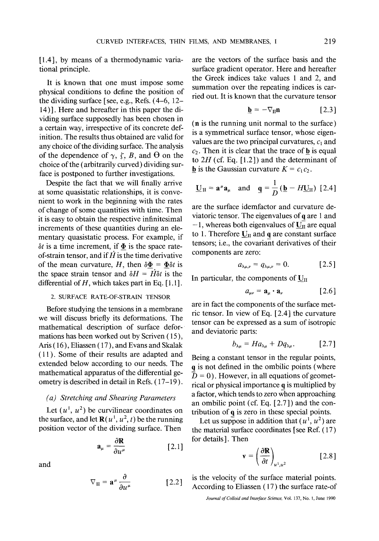[1.4], by means of a thermodynamic variational principle.

It is known that one must impose some physical conditions to define the position of the dividing surface [see, e.g., Refs. (4-6, 12- 14)]. Here and hereafter in this paper the dividing surface supposedly has been chosen in a certain way, irrespective of its concrete definition. The results thus obtained are valid for any choice of the dividing surface. The analysis of the dependence of  $\gamma$ ,  $\zeta$ ,  $B$ , and  $\Theta$  on the choice of the (arbitrarily curved) dividing surface is postponed to further investigations.

Despite the fact that we will finally arrive at some quasistatic relationships, it is convenient to work in the beginning with the rates of change of some quantities with time. Then it is easy to obtain the respective infinitesimal increments of these quantities during an elementary quasistatic process. For example, if  $\delta t$  is a time increment, if  $\Phi$  is the space rateof-strain tensor, and if  $H$  is the time derivative of the mean curvature, H, then  $\delta \Phi = \Phi \delta t$  is the space strain tensor and  $\delta H = H \delta t$  is the differential of  $H$ , which takes part in Eq. [1.1].

### 2. SURFACE RATE-OF-STRAIN TENSOR

Before studying the tensions in a membrane we will discuss briefly its deformations. The mathematical description of surface deformations has been worked out by Scriven (15), Aris (16), Eliassen (17), and Evans and Skalak (11). Some of their results are adapted and extended below according to our needs. The mathematical apparatus of the differential geometry is described in detail in Refs. (17-19).

## *(a) Stretching and Shearing Parameters*

Let  $(u^1, u^2)$  be curvilinear coordinates on the surface, and let  $\mathbf{R}(u^1, u^2, t)$  be the running position vector of the dividing surface. Then

$$
\mathbf{a}_{\mu} = \frac{\partial \mathbf{R}}{\partial u^{\mu}} \quad [2.1]
$$

and

$$
\nabla_{\mathbf{II}} = \mathbf{a}^{\mu} \frac{\partial}{\partial u^{\mu}} \quad [2.2]
$$

are the vectors of the surface basis and the surface gradient operator. Here and hereafter the Greek indices take values 1 and 2, and summation over the repeating indices is carried out. It is known that the curvature tensor

$$
\mathbf{b} = -\nabla_{\mathbf{II}} \mathbf{n} \tag{2.3}
$$

(n is the running unit normal to the surface) is a symmetrical surface tensor, whose eigenvalues are the two principal curvatures,  $c_1$  and  $c_2$ . Then it is clear that the trace of **b** is equal to  $2H$  (cf. Eq. [1.2]) and the determinant of **b** is the Gaussian curvature  $K = c_1 c_2$ .

$$
\underline{\mathbf{U}}_{\mathrm{II}} = \mathbf{a}^{\mu} \mathbf{a}_{\mu} \quad \text{and} \quad \underline{\mathbf{q}} = \frac{1}{D} \left( \underline{\mathbf{b}} - H \underline{\mathbf{U}}_{\mathrm{II}} \right) \ [2.4]
$$

are the surface idemfactor and curvature deviatoric tensor. The eigenvalues of  $q$  are 1 and  $-1$ , whereas both eigenvalues of  $\overline{U_{II}}$  are equal to 1. Therefore  $U_{II}$  and q are constant surface tensors; i.e., the covariant derivatives of their components are zero:

$$
a_{\lambda\mu,\nu}=q_{\lambda\mu,\nu}=0.\qquad\qquad \text{[2.5]}
$$

In particular, the components of  $\underline{U}_{II}$ 

$$
a_{\mu\nu} = \mathbf{a}_{\mu} \cdot \mathbf{a}_{\nu} \quad [2.6]
$$

are in fact the components of the surface metric tensor. In view of Eq. [ 2.4] the curvature tensor can be expressed as a sum of isotropic and deviatoric parts:

$$
b_{\lambda\mu} = Ha_{\lambda\mu} + Dq_{\lambda\mu}.
$$
 [2.7]

Being a constant tensor in the regular points, q is not defined in the ombilic points (where  $\bar{D} = 0$ ). However, in all equations of geometrical or physical importance q is multiplied by a factor, which tends to zero when approaching an ombilic point (cf. Eq. [2.7 ] ) and the contribution of q is zero in these special points.

Let us suppose in addition that  $(u^1, u^2)$  are the material surface coordinates [see Ref. (17) for details]. Then

$$
\mathbf{v} = \left(\frac{\partial \mathbf{R}}{\partial t}\right)_{u^1, u^2} \quad [2.8]
$$

is the velocity of the surface material points. According to Eliassen (17) the surface rate-of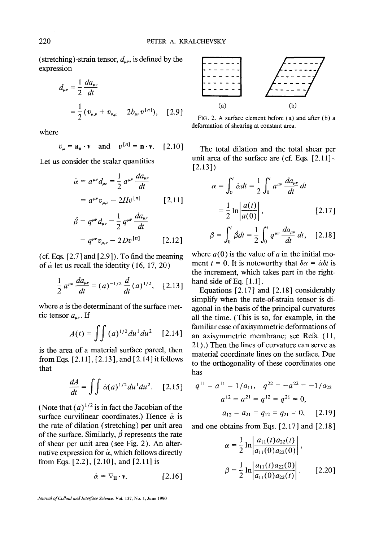220 PETER A. KRALCHEVSKY<br>
(stretching)-strain tensor,  $d_{\mu\nu}$ , is defined by the<br>
expression

$$
d_{\mu\nu} = \frac{1}{2} \frac{d a_{\mu\nu}}{dt}
$$
  
=  $\frac{1}{2} (v_{\mu,\nu} + v_{\nu,\mu} - 2b_{\mu\nu} v^{[n]}),$  [2.9]  
Fig. 2. A surface element before (a) a

where

$$
v_{\mu} = \mathbf{a}_{\mu} \cdot \mathbf{v} \quad \text{and} \quad v^{\{n\}} = \mathbf{n} \cdot \mathbf{v}. \quad [2.10]
$$

Let us consider the scalar quantities

$$
\dot{\alpha} = a^{\mu\nu} d_{\mu\nu} = \frac{1}{2} a^{\mu\nu} \frac{d a_{\mu\nu}}{dt}
$$

$$
= a^{\mu\nu} v_{\mu,\nu} - 2H v^{[n]} \qquad [2.11]
$$

$$
\dot{\beta} = q^{\mu\nu} d_{\mu\nu} = \frac{1}{2} q^{\mu\nu} \frac{d a_{\mu\nu}}{dt}
$$

$$
= q^{\mu\nu} v_{\mu,\nu} - 2 D v^{[n]} \qquad [2.12]
$$

(cf. Eqs.  $[2.7]$  and  $[2.9]$ ). To find the meaning of  $\alpha$  let us recall the identity (16, 17, 20)

$$
\frac{1}{2} a^{\mu\nu} \frac{da_{\mu\nu}}{dt} = (a)^{-1/2} \frac{d}{dt} (a)^{1/2}, \quad [2.13]
$$

where  $a$  is the determinant of the surface metric tensor  $a_{\mu\nu}$ . If

$$
A(t) = \int \int (a)^{1/2} du^1 du^2 \quad [2.14]
$$

is the area of a material surface parcel, then from Eqs.  $[2.11]$ ,  $[2.13]$ , and  $[2.14]$  it follows that

$$
\frac{dA}{dt} = \iint \dot{\alpha}(a)^{1/2} du^1 du^2. \quad [2.15]
$$

(Note that  $(a)^{1/2}$  is in fact the Jacobian of the surface curvilinear coordinates.) Hence  $\alpha$  is the rate of dilation (stretching) per unit area of the surface. Similarly,  $\dot{\beta}$  represents the rate of shear per unit area (see Fig. 2). An alternative expression for  $\alpha$ , which follows directly from Eqs. [2.2], [2.10], and [2.11] is

$$
\dot{\alpha} = \nabla_{\mathbf{II}} \cdot \mathbf{v}.
$$
 [2.16]





FIG. 2. A surface element before (a) and after (b) a deformation of shearing at constant area.

The total dilation and the total shear per unit area of the surface are (cf. Eqs. [2.11]- [2.131)

$$
\alpha = \int_0^t \dot{\alpha} dt = \frac{1}{2} \int_0^t a^{\mu\nu} \frac{da_{\mu\nu}}{dt} dt
$$

$$
= \frac{1}{2} \ln \left| \frac{a(t)}{a(0)} \right|, \qquad [2.17]
$$

$$
\beta = \int_0^t \dot{\beta} dt = \frac{1}{2} \int_0^t q^{\mu\nu} \frac{da_{\mu\nu}}{dt} dt, \quad [2.18]
$$

where  $a(0)$  is the value of a in the initial moment  $t = 0$ . It is noteworthy that  $\delta \alpha = \alpha \delta t$  is the increment, which takes part in the righthand side of Eq. [1.1].

Equations  $[2.17]$  and  $[2.18]$  considerably simplify when the rate-of-strain tensor is diagonal in the basis of the principal curvatures all the time. (This is so, for example, in the familiar case of axisymmetric deformations of an axisymmetric membrane; see Refs. (11, 21 ).) Then the lines of curvature can serve as material coordinate lines on the surface. Due to the orthogonality of these coordinates one has

$$
q^{11} = a^{11} = 1/a_{11}, \quad q^{22} = -a^{22} = -1/a_{22}
$$

$$
a^{12} = a^{21} = q^{12} = q^{21} = 0,
$$

$$
a_{12} = a_{21} = q_{12} = q_{21} = 0, \quad [2.19]
$$

and one obtains from Eqs. [2.17] and [2.18]

$$
\alpha = \frac{1}{2} \ln \left| \frac{a_{11}(t)a_{22}(t)}{a_{11}(0)a_{22}(0)} \right|,
$$
  

$$
\beta = \frac{1}{2} \ln \left| \frac{a_{11}(t)a_{22}(0)}{a_{11}(0)a_{22}(t)} \right|.
$$
 [2.20]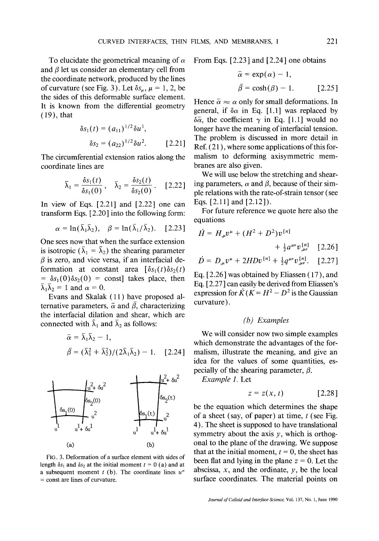To elucidate the geometrical meaning of  $\alpha$ and  $\beta$  let us consider an elementary cell from the coordinate network, produced by the lines of curvature (see Fig. 3). Let  $\delta s_{\mu}$ ,  $\mu = 1, 2$ , be the sides of this deformable surface element. It is known from the differential geometry (19), that

$$
\delta s_1(t) = (a_{11})^{1/2} \delta u^1,
$$
  

$$
\delta s_2 = (a_{22})^{1/2} \delta u^2.
$$
 [2.21]

The circumferential extension ratios along the coordinate lines are

$$
\bar{\lambda}_1 = \frac{\delta s_1(t)}{\delta s_1(0)}, \quad \bar{\lambda}_2 = \frac{\delta s_2(t)}{\delta s_2(0)}.
$$
 [2.22]

In view of Eqs. [2.21] and [2.22] one can transform Eqs. [2.20] into the following form:

$$
\alpha = \ln(\bar{\lambda}_1 \bar{\lambda}_2), \quad \beta = \ln(\bar{\lambda}_1 / \bar{\lambda}_2). \quad [2.23]
$$

One sees now that when the surface extension is isotropic ( $\bar{\lambda}_1 = \bar{\lambda}_2$ ) the shearing parameter  $\beta$  is zero, and vice versa, if an interfacial deformation at constant area  $\left[\delta s_1(t)\delta s_2(t)\right]$  $= \delta s_1(0)\delta s_2(0) = \text{const}$  takes place, then  $\bar{\lambda}_1 \bar{\lambda}_2 = 1$  and  $\alpha = 0$ .

Evans and Skalak (11) have proposed alternative parameters,  $\bar{\alpha}$  and  $\bar{\beta}$ , characterizing the interfacial dilation and shear, which are connected with  $\bar{\lambda}_1$  and  $\bar{\lambda}_2$  as follows:

$$
\bar{\alpha} = \bar{\lambda}_1 \bar{\lambda}_2 - 1,
$$
  

$$
\bar{\beta} = (\bar{\lambda}_1^2 + \bar{\lambda}_2^2) / (2\bar{\lambda}_1 \bar{\lambda}_2) - 1.
$$
 [2.24]



FIG. 3. Deformation of a surface element with sides of length  $\delta s_1$  and  $\delta s_2$  at the initial moment  $t = 0$  (a) and at a subsequent moment t (b). The coordinate lines  $u^{\alpha}$ = const are lines of curvature.

From Eqs. [2.23] and [2.24] one obtains

$$
\bar{\alpha} = \exp(\alpha) - 1,
$$
  
\n
$$
\bar{\beta} = \cosh(\beta) - 1.
$$
 [2.25]

Hence  $\bar{\alpha} \approx \alpha$  only for small deformations. In general, if  $\delta \alpha$  in Eq. [1.1] was replaced by  $\delta\bar{\alpha}$ , the coefficient  $\gamma$  in Eq. [1.1] would no longer have the meaning of interfacial tension. The problem is discussed in more detail in Ref. (21 ), where some applications of this formalism to deforming axisymmetric membranes are also given.

We will use below the stretching and shearing parameters,  $\alpha$  and  $\beta$ , because of their simple relations with the rate-of-strain tensor (see Eqs. [2.11] and [2.12]).

For future reference we quote here also the equations

$$
\dot{H} = H_{,\mu}v^{\mu} + (H^2 + D^2)v^{[n]} + \frac{1}{2}a^{\mu\nu}v^{[n]}_{,\mu\nu} \quad [2.26]
$$

$$
\dot{D} = D_{,\mu}v^{\mu} + 2HDv^{[n]} + \frac{1}{2}q^{\mu\nu}v^{[n]}_{,\mu\nu}.
$$
 [2.27]

Eq. [ 2.26 ] was obtained by Eliassen (17), and Eq. [2.27] can easily be derived from Eliassen's expression for  $\dot{K}$  ( $K = H^2 - D^2$  is the Gaussian curvature).

## *(b) Examples*

We will consider now two simple examples which demonstrate the advantages of the formalism, illustrate the meaning, and give an idea for the values of some quantities, especially of the shearing parameter,  $\beta$ .

*Example 1.* Let

$$
z = z(x, t) \qquad [2.28]
$$

be the equation which determines the shape of a sheet (say, of paper) at time,  $t$  (see Fig. 4). The sheet is supposed to have translational symmetry about the axis  $y$ , which is orthogonal to the plane of the drawing. We suppose that at the initial moment,  $t = 0$ , the sheet has been flat and lying in the plane  $z = 0$ . Let the abscissa,  $x$ , and the ordinate,  $y$ , be the local surface coordinates. The material points on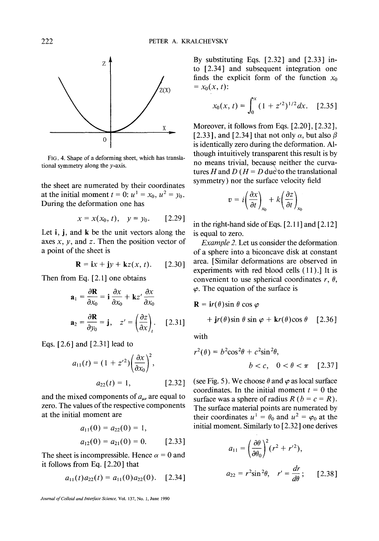

FIG. 4. Shape of a deforming sheet, which has translational symmetry along the y-axis.

the sheet are numerated by their coordinates at the initial moment  $t = 0$ :  $u<sup>1</sup> = x<sub>0</sub>$ ,  $u<sup>2</sup> = y<sub>0</sub>$ . During the deformation one has

$$
x = x(x_0, t), \quad y = y_0. \quad [2.29]
$$

Let i, j, and k be the unit vectors along the axes  $x$ ,  $y$ , and  $z$ . Then the position vector of a point of the sheet is

$$
\mathbf{R} = \mathbf{i}x + \mathbf{j}y + \mathbf{k}z(x, t). \qquad [2.30]
$$

Then from Eq. [2.1] one obtains

$$
\mathbf{a}_1 = \frac{\partial \mathbf{R}}{\partial x_0} = \mathbf{i} \frac{\partial x}{\partial x_0} + \mathbf{k} z' \frac{\partial x}{\partial x_0}
$$

$$
\mathbf{a}_2 = \frac{\partial \mathbf{R}}{\partial y_0} = \mathbf{j}, \quad z' = \left(\frac{\partial z}{\partial x}\right)_t. \quad [2.31]
$$

Eqs. [2.6] and [2.31] lead to

$$
a_{11}(t) = (1 + z'^2) \left(\frac{\partial x}{\partial x_0}\right)^2,
$$
  
\n
$$
a_{22}(t) = 1,
$$
 [2.32]

and the mixed components of  $a_{\mu\nu}$  are equal to zero. The values of the respective components at the initial moment are

$$
a_{11}(0) = a_{22}(0) = 1,
$$
  
\n
$$
a_{12}(0) = a_{21}(0) = 0.
$$
 [2.33]

The sheet is incompressible. Hence  $\alpha = 0$  and it follows from Eq. [2.20] that

$$
a_{11}(t)a_{22}(t) = a_{11}(0)a_{22}(0). \quad [2.34]
$$

*Journal of Colloid and Interface Science,* Vol. 137, No. i, June 1990

By substituting Eqs. [2.32] and [2.33] into [2.34] and subsequent integration one finds the explicit form of the function  $x_0$  $= x_0(x, t)$ :

$$
x_0(x, t) = \int_0^x (1 + z'^2)^{1/2} dx. \quad [2.35]
$$

Moreover, it follows from Eqs. [2.20], [2.32], [2.33], and [2.34] that not only  $\alpha$ , but also  $\beta$ is identically zero during the deformation. Although intuitively transparent this result is by no means trivial, because neither the curvatures H and D ( $H = D$  due to the translational symmetry) nor the surface velocity field

$$
v = i \left( \frac{\partial x}{\partial t} \right)_{x_0} + k \left( \frac{\partial z}{\partial t} \right)_{x_0}
$$

in the right-hand side of Eqs. [2.11] and [2.12] is equal to zero.

*Example 2.* Let us consider the deformation. of a sphere into a biconcave disk at constant area. [Similar deformations are observed in experiments with red blood cells (11 ).] It is convenient to use spherical coordinates  $r, \theta$ ,  $\varphi$ . The equation of the surface is

$$
\mathbf{R} = \mathbf{i}r(\theta)\sin\theta\cos\varphi
$$
  
+ 
$$
\mathbf{j}r(\theta)\sin\theta\sin\varphi + \mathbf{k}r(\theta)\cos\theta
$$
 [2.36]

with

$$
r^{2}(\theta) = b^{2}\cos^{2}\theta + c^{2}\sin^{2}\theta,
$$
  

$$
b < c, \quad 0 < \theta < \pi \quad [2.37]
$$

(see Fig. 5). We choose  $\theta$  and  $\varphi$  as local surface coordinates. In the initial moment  $t = 0$  the surface was a sphere of radius  $R$  ( $b = c = R$ ). The surface material points are numerated by their coordinates  $u^1 = \theta_0$  and  $u^2 = \varphi_0$  at the initial moment. Similarly to [2.32] one derives

$$
a_{11} = \left(\frac{\partial \theta}{\partial \theta_0}\right)^2 (r^2 + r^2),
$$
  

$$
a_{22} = r^2 \sin^2 \theta, \quad r' = \frac{dr}{d\theta}; \qquad [2.38]
$$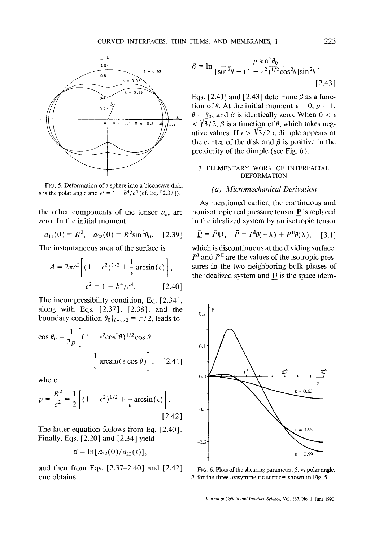

FIG. 5. Deformation of a sphere into a biconcave disk.  $\theta$  is the polar angle and  $\epsilon^2 = 1 - b^4/c^4$  (cf. Eq. [2.37]).

the other components of the tensor  $a_{\mu\nu}$  are zero. In the initial moment

$$
a_{11}(0) = R^2, \quad a_{22}(0) = R^2 \sin^2 \theta_0. \quad [2.39]
$$

The instantaneous area of the surface is

$$
A = 2\pi c^2 \left[ (1 - \epsilon^2)^{1/2} + \frac{1}{\epsilon} \arcsin(\epsilon) \right],
$$
  

$$
\epsilon^2 = 1 - b^4/c^4.
$$
 [2.40]

The incompressibility condition, Eq. [ 2.34 ], along with Eqs. [2.37], [2.38], and the boundary condition  $\theta_0|_{\theta=\pi/2} = \pi/2$ , leads to

$$
\cos \theta_0 = \frac{1}{2p} \left[ (1 - \epsilon^2 \cos^2 \theta)^{1/2} \cos \theta + \frac{1}{\epsilon} \arcsin(\epsilon \cos \theta) \right], \quad [2.41]
$$

where

$$
p = \frac{R^2}{c^2} = \frac{1}{2} \left[ (1 - \epsilon^2)^{1/2} + \frac{1}{\epsilon} \arcsin(\epsilon) \right].
$$
\n[2.42]

The latter equation follows from Eq. [2.40]. Finally, Eqs. [2.20] and [2.34] yield  $_{-0.2}$ 

$$
\beta = \ln [a_{22}(0)/a_{22}(t)],
$$

and then from Eqs.  $[2.37-2.40]$  and  $[2.42]$  FIG. 6. Plots of the shearing parameter,  $\beta$ , vs polar angle, one obtains  $\theta$ , for the three axisymmetric surfaces shown in Fig. 5.

$$
\beta = \ln \frac{p \sin^2 \theta_0}{\left[\sin^2 \theta + (1 - \epsilon^2)^{1/2} \cos^2 \theta\right] \sin^2 \theta}.
$$
\n[2.43]

Eqs. [2.41] and [2.43] determine  $\beta$  as a function of  $\theta$ . At the initial moment  $\epsilon = 0$ ,  $p = 1$ ,  $\theta = \theta_0$ , and  $\beta$  is identically zero. When  $0 < \epsilon$  $<$   $\sqrt{3}/2$ ,  $\beta$  is a function of  $\theta$ , which takes negative values. If  $\epsilon > \sqrt{3}/2$  a dimple appears at the center of the disk and  $\beta$  is positive in the proximity of the dimple (see Fig. 6).

### 3. ELEMENTARY WORK OF INTERFACIAL DEFORMATION

### *(a) Micrornechanical Derivation*

As mentioned earlier, the continuous and nonisotropic real pressure tensor P is replaced in the idealized system by an isotropic tensor

$$
\underline{\bar{\mathbf{P}}} = \bar{P}\underline{\mathbf{U}}, \quad \bar{P} = P^{\mathrm{I}}\theta(-\lambda) + P^{\mathrm{II}}\theta(\lambda), \quad [3.1]
$$

which is discontinuous at the dividing surface.  $P<sup>I</sup>$  and  $P<sup>II</sup>$  are the values of the isotropic pressures in the two neighboring bulk phases of the idealized system and  $U$  is the space idem-



*Journal of Colloid and Interface Science,* Vol. 137, No. 1, June 1990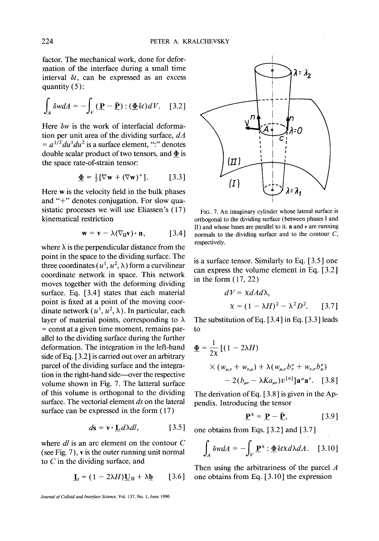factor. The mechanical work, done for deformation of the interface during a small time interval  $\delta t$ , can be expressed as an excess quantity  $(5)$ :

$$
\int_A \delta w dA = -\int_V (\underline{\mathbf{P}} - \underline{\bar{\mathbf{P}}}): (\underline{\Phi} \delta t) dV. \quad [3.2]
$$

Here *6w* is the work of interfacial deformation per unit area of the dividing surface, *dA*   $a^{1/2} du^1 du^2$  is a surface element, ":" denotes double scalar product of two tensors, and  $\overline{\Phi}$  is the space rate-of-strain tensor:

$$
\underline{\Phi} = \frac{1}{2} [\nabla \mathbf{w} + (\nabla \mathbf{w})^+] \tag{3.3}
$$

Here w is the velocity field in the bulk phases and "+" denotes conjugation. For slow quasistatic processes we will use Eliassen's (17) kinematical restriction

$$
\mathbf{w} = \mathbf{v} - \lambda (\nabla_{\mathbf{H}} \mathbf{v}) \cdot \mathbf{n}, \quad [3.4]
$$

where  $\lambda$  is the perpendicular distance from the point in the space to the dividing surface. The three coordinates ( $u^1$ ,  $u^2$ ,  $\lambda$ ) form a curvilinear coordinate network in space. This network moves together with the deforming dividing surface. Eq. [3.4] states that each material point is fixed at a point of the moving coordinate network  $(u^1, u^2, \lambda)$ . In particular, each layer of material points, corresponding to  $\lambda$ = const at a given time moment, remains parallel to the dividing surface during the further deformation. The integration in the left-hand side of Eq. [3.2] is carried out over an arbitrary parcel of the dividing surface and the integration in the right-hand side--over the respective volume shown in Fig. 7. The latteral surface of this volume is orthogonal to the dividing surface. The vectorial element *ds* on the lateral surface can be expressed in the form (17)

$$
d\mathbf{s} = \mathbf{v} \cdot \underline{\mathbf{L}} d\lambda dl, \qquad [3.5]
$$

where *dl* is an arc element on the contour C (see Fig. 7), v is the outer running unit normal to C in the dividing surface, and

$$
\underline{\mathbf{L}} = (1 - 2\lambda H)\underline{\mathbf{U}}_{II} + \lambda \underline{\mathbf{b}} \qquad [3.6]
$$

*Journal of Colloid and Interface Science,* VoL 137, No. 1, June 1990



FIG. 7. An imaginary cylinder whose lateral surface is orthogonal to the dividing surface (between phases I and II) and whose bases are parallel to it.  $n$  and  $\nu$  are running normals to the dividing surface and to the contour  $C$ , respectively.

is a surface tensor. Similarly to Eq. [3.5] one can express the volume element in Eq. [3.2] in the form ( 17, 22)

$$
dV = \chi dA d\lambda,
$$
  

$$
\chi = (1 - \lambda H)^2 - \lambda^2 D^2.
$$
 [3.7]

The substitution of Eq. [ 3.4 ] in Eq. [ 3.3 ] leads to

$$
\underline{\Phi} = \frac{1}{2\chi} \left[ (1 - 2\lambda H) \times (w_{\mu,\nu} + w_{\nu,\mu}) + \lambda (w_{\mu,\sigma} b^{\sigma}_{\nu} + w_{\nu,\sigma} b^{\sigma}_{\mu}) \right] \times (2b_{\mu\nu} - \lambda K a_{\mu\nu}) v^{[n]} \mathbf{a}^{\mu} \mathbf{a}^{\nu}. \quad [3.8]
$$

The derivation of Eq.  $[3.8]$  is given in the Appendix. Introducing the tensor

$$
\underline{\mathbf{P}}^{\mathbf{x}} = \underline{\mathbf{P}} - \underline{\bar{\mathbf{P}}}, \quad [3.9]
$$

one obtains from Eqs. [3.2] and [3.7]

$$
\int_{A} \delta w dA = -\int_{V} \underline{\mathbf{P}}^{x} : \underline{\Phi} \delta t \times d\lambda dA. \quad [3.10]
$$

Then using the arbitrariness of the parcel  $A$ one obtains from Eq. [ 3.10 ] the expression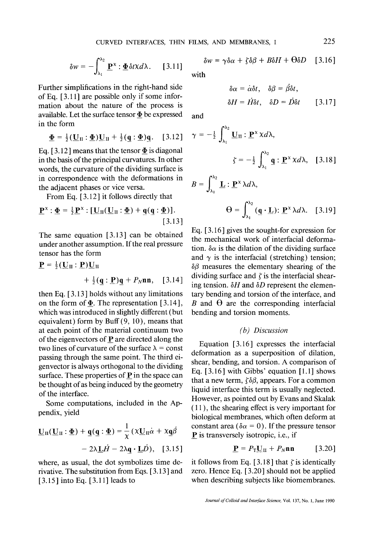$$
\delta w = -\int_{\lambda_1}^{\lambda_2} \underline{\mathbf{P}}^{\mathsf{x}} : \underline{\mathbf{\Phi}} \delta t \mathsf{x} d\lambda. \quad [3.11]
$$

Further simplifications in the right-hand side of Eq. [ 3.11 ] are possible only if some information about the nature of the process is available. Let the surface tensor  $\Phi$  be expressed in the form

$$
\underline{\Phi} = \frac{1}{2} (\underline{\mathbf{U}}_{\mathrm{II}} : \underline{\Phi}) \underline{\mathbf{U}}_{\mathrm{II}} + \frac{1}{2} (\underline{\mathbf{q}} : \underline{\Phi}) \underline{\mathbf{q}}. \quad [3.12]
$$

Eq. [3.12] means that the tensor  $\Phi$  is diagonal in the basis of the principal curvatures. In other words, the curvature of the dividing surface is in correspondence with the deformations in the adjacent phases or vice versa.

From Eq. [3.12] it follows directly that

$$
\underline{\mathbf{P}}^{\mathbf{x}} : \underline{\Phi} = \frac{1}{2} \underline{\mathbf{P}}^{\mathbf{x}} : [\underline{\mathbf{U}}_{\Pi} (\underline{\mathbf{U}}_{\Pi} : \underline{\Phi}) + \underline{\mathbf{q}} (\underline{\mathbf{q}} : \underline{\Phi})].
$$
\n[3.13]

The same equation  $[3.13]$  can be obtained under another assumption. If the real pressure tensor has the form

$$
\mathbf{P} = \frac{1}{2} (\mathbf{U}_{II} : \mathbf{P}) \mathbf{U}_{II}
$$
  
+  $\frac{1}{2} (\mathbf{q} : \mathbf{P}) \mathbf{q} + P_N \mathbf{n} \mathbf{n}, \quad [3.14]$ 

then Eq. [ 3.13 ] holds without any limitations on the form of  $\underline{\Phi}$ . The representation [3.14], which was introduced in slightly different (but equivalent) form by Buff (9, 10), means that at each point of the material continuum two of the eigenvectors of  $P$  are directed along the two lines of curvature of the surface  $\lambda$  = const passing through the same point. The third eigenvector is always orthogonal to the dividing surface. These properties of  $P$  in the space can be thought of as being induced by the geometry of the interface.

Some computations, included in the Appendix, yield

$$
\underline{\mathbf{U}}_{\Pi}(\underline{\mathbf{U}}_{\Pi} : \underline{\Phi}) + \underline{\mathbf{q}}(\underline{\mathbf{q}} : \underline{\Phi}) = \frac{1}{\chi} (\chi \underline{\mathbf{U}}_{\Pi} \dot{\alpha} + \chi \underline{\mathbf{q}} \dot{\beta} - 2\lambda \underline{\mathbf{L}} \dot{H} - 2\lambda \underline{\mathbf{q}} \cdot \underline{\mathbf{L}} \dot{D}), \quad [3.15]
$$

where, as usual, the dot symbolizes time derivative. The substitution from Eqs. [ 3.13 ] and [ 3.15 ] into Eq. [ 3.11] leads to

$$
\delta w = \gamma \delta \alpha + \zeta \delta \beta + B \delta H + \Theta \delta D \quad [3.16]
$$

with

$$
\delta \alpha = \dot{\alpha} \delta t, \quad \delta \beta = \beta \delta t,
$$
  

$$
\delta H = H \delta t, \quad \delta D = D \delta t \qquad [3.17]
$$

and

$$
\gamma = -\frac{1}{2} \int_{\lambda_1}^{\lambda_2} \underline{\mathbf{U}}_{\Pi} : \underline{\mathbf{P}}^{\chi} \chi d\lambda,
$$

$$
\zeta = -\frac{1}{2} \int_{\lambda_1}^{\lambda_2} \underline{\mathbf{q}} : \underline{\mathbf{P}}^{\chi} \chi d\lambda, \quad [3.18]
$$

$$
B = \int_{\lambda_1}^{\lambda_2} \mathbf{L} : \mathbf{P}^{\mathbf{x}} \lambda d\lambda,
$$

$$
\Theta = \int_{\lambda_1}^{\lambda_2} (\mathbf{q} \cdot \mathbf{L}) : \mathbf{P}^{\mathbf{x}} \lambda d\lambda. \quad [3.19]
$$

Eq. [ 3.16 ] gives the sought-for expression for the mechanical work of interfacial deformation.  $\delta \alpha$  is the dilation of the dividing surface and  $\gamma$  is the interfacial (stretching) tension;  $\delta\beta$  measures the elementary shearing of the dividing surface and  $\zeta$  is the interfacial shearing tension.  $\delta H$  and  $\delta D$  represent the elementary bending and torsion of the interface, and B and  $\Theta$  are the corresponding interfacial bending and torsion moments.

## *(b) Discussion*

Equation [3.16] expresses the interfacial deformation as a superposition of dilation, shear, bending, and torsion. A comparison of Eq.  $[3.16]$  with Gibbs' equation  $[1.1]$  shows that a new term,  $\zeta \delta \beta$ , appears. For a common liquid interface this term is usually neglected. However, as pointed out by Evans and Skalak ( 11 ), the shearing effect is very important for biological membranes, which often deform at constant area ( $\delta \alpha = 0$ ). If the pressure tensor P is transversely isotropic, i.e., if

$$
\underline{\mathbf{P}} = P_{\mathrm{T}} \underline{\mathbf{U}}_{\mathrm{II}} + P_{N} \mathbf{n} \mathbf{n} \qquad [3.20]
$$

it follows from Eq. [3.18] that  $\zeta$  is identically zero. Hence Eq. [3.20] should not be applied when describing subjects like biomembranes.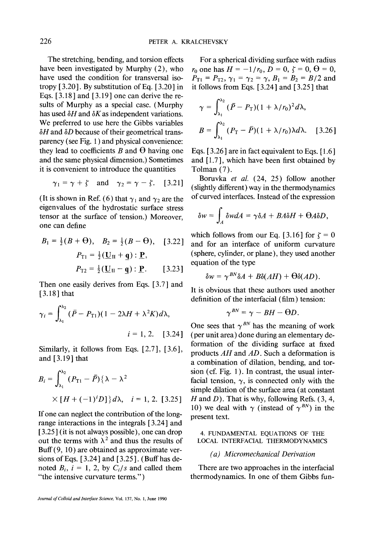The stretching, bending, and torsion effects have been investigated by Murphy (2), who have used the condition for transversal isotropy  $[3.20]$ . By substitution of Eq.  $[3.20]$  in Eqs.  $[3.18]$  and  $[3.19]$  one can derive the resuits of Murphy as a special case. (Murphy has used  $\delta H$  and  $\delta K$  as independent variations. We preferred to use here the Gibbs variables  $\delta H$  and  $\delta D$  because of their geometrical transparency (see Fig. 1 ) and physical convenience: they lead to coefficients  $B$  and  $\Theta$  having one and the same physical dimension.) Sometimes it is convenient to introduce the quantities

$$
\gamma_1 = \gamma + \zeta
$$
 and  $\gamma_2 = \gamma - \zeta$ . [3.21]

(It is shown in Ref. (6) that  $\gamma_1$  and  $\gamma_2$  are the eigenvalues of the hydrostatic surface stress tensor at the surface of tension.) Moreover, one can define

$$
B_1 = \frac{1}{2}(B + \Theta), \quad B_2 = \frac{1}{2}(B - \Theta), \quad [3.22]
$$

$$
P_{T1} = \frac{1}{2}(\underline{U}_H + \underline{q}) : \underline{P},
$$

$$
P_{T2} = \frac{1}{2}(\underline{U}_H - \underline{q}) : \underline{P}. \quad [3.23]
$$

Then one easily derives from Eqs. [3.7] and [3.18] that

$$
\gamma_i = \int_{\lambda_1}^{\lambda_2} (\bar{P} - P_{\text{T1}})(1 - 2\lambda H + \lambda^2 K) d\lambda,
$$
  

$$
i = 1, 2. \quad [3.24]
$$

Similarly, it follows from Eqs. [2.7], [3.6], and [ 3.19 ] that

$$
B_{i} = \int_{\lambda_{1}}^{\lambda_{2}} (P_{\text{T1}} - \bar{P}) \{ \lambda - \lambda^{2} \times [H + (-1)^{i} D] \} d\lambda, \quad i = 1, 2. [3.25]
$$

If one can neglect the contribution of the longrange interactions in the integrals [ 3.24 ] and [3.25] (it is not always possible), one can drop out the terms with  $\lambda^2$  and thus the results of Buff (9, 10) are obtained as approximate versions of Eqs. [ 3.24 ] and [ 3.25 ]. ( Buff has denoted  $B_i$ ,  $i = 1, 2$ , by  $C_i/s$  and called them "the intensive curvature terms.")

For a spherical dividing surface with radius  $r_0$  one has  $H = -1/r_0, D = 0, \zeta = 0, \Theta = 0$ ,  $P_{T1} = P_{T2}$ ,  $\gamma_1 = \gamma_2 = \gamma$ ,  $B_1 = B_2 = B/2$  and it follows from Eqs. [3.24] and [3.25] that

$$
\gamma = \int_{\lambda_1}^{\lambda_2} (\bar{P} - P_\text{T})(1 + \lambda/r_0)^2 d\lambda,
$$
  

$$
B = \int_{\lambda_1}^{\lambda_2} (P_\text{T} - \bar{P})(1 + \lambda/r_0) \lambda d\lambda. \quad [3.26]
$$

Eqs. [3.26] are in fact equivalent to Eqs. [1.6] and [1.7], which have been first obtained by Tolman (7).

Boruvka *et al.* (24, 25) follow another (slightly different) way in the thermodynamics of curved interfaces. Instead of the expression

$$
\delta w = \int_A \delta w dA = \gamma \delta A + BA \delta H + \Theta A \delta D,
$$

which follows from our Eq. [3.16] for  $\zeta = 0$ and for an interface of uniform curvature (sphere, cylinder, or plane), they used another equation of the type

$$
\delta w = \gamma^{BN} \delta A + B \delta (AH) + \Theta \delta (AD).
$$

It is obvious that these authors used another definition of the interfacial (film) tension:

$$
\gamma^{BN}=\gamma-BH-\Theta D.
$$

One sees that  $\gamma^{BN}$  has the meaning of work (per unit area) done during an elementary deformation of the dividing surface at fixed products *AH* and *AD.* Such a deformation is a combination of dilation, bending, and torsion (cf. Fig. 1). In contrast, the usual interfacial tension,  $\gamma$ , is connected only with the simple dilation of the surface area (at constant  $H$  and  $D$ ). That is why, following Refs. (3, 4, 10) we deal with  $\gamma$  (instead of  $\gamma^{BN}$ ) in the present text.

4. FUNDAMENTAL EQUATIONS OF THE LOCAL INTERFACIAL THERMODYNAMICS

### *(a) Micromechanical Derivation*

There are two approaches in the interfacial thermodynamics. In one of them Gibbs fun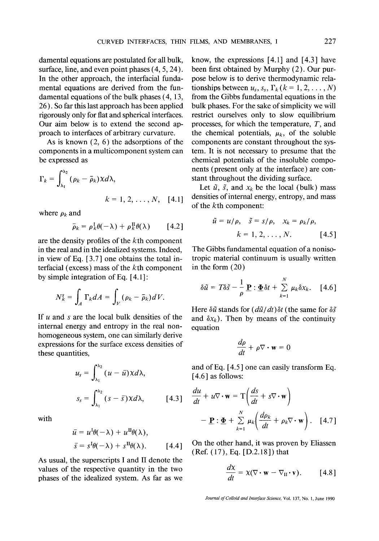damental equations are postulated for all bulk, surface, line, and even point phases  $(4, 5, 24)$ . In the other approach, the interfacial fundamental equations are derived from the fundamental equations of the bulk phases (4, 13, 26). So far this last approach has been applied rigorously only for flat and spherical interfaces. Our aim below is to extend the second approach to interfaces of arbitrary curvature.

As is known (2, 6) the adsorptions of the components in a multicomponent system can be expressed as

$$
\Gamma_k = \int_{\lambda_1}^{\lambda_2} (\rho_k - \bar{\rho}_k) \chi d\lambda,
$$
  

$$
k = 1, 2, \dots, N, [4.1]
$$

where  $\rho_k$  and

$$
\bar{\rho}_k = \rho_k^{\text{I}} \theta(-\lambda) + \rho_k^{\text{II}} \theta(\lambda) \qquad [4.2]
$$

are the density profiles of the kth component in the real and in the idealized systems. Indeed, in view of Eq. [ 3.7 ] one obtains the total interfacial (excess) mass of the kth component by simple integration of Eq. [ 4.1 ]:

$$
N_k^s = \int_A \Gamma_k dA = \int_V (\rho_k - \bar{\rho}_k) dV.
$$

If  $u$  and  $s$  are the local bulk densities of the internal energy and entropy in the real nonhomogeneous system, one can similarly derive expressions for the surface excess densities of these quantities,

$$
u_s = \int_{\lambda_1}^{\lambda_2} (u - \bar{u}) \chi d\lambda,
$$
  

$$
s_s = \int_{\lambda_1}^{\lambda_2} (s - \bar{s}) \chi d\lambda, \qquad [4.3]
$$

with

$$
\bar{u} = u^1 \theta(-\lambda) + u^{\text{II}} \theta(\lambda),
$$
  

$$
\bar{s} = s^1 \theta(-\lambda) + s^{\text{II}} \theta(\lambda). \qquad [4.4]
$$

As usual, the superscripts I and II denote the values of the respective quantity in the two phases of the idealized system. As far as we

know, the expressions  $[4.1]$  and  $[4.3]$  have been first obtained by Murphy (2). Our purpose below is to derive thermodynamic relationships between  $u_s$ ,  $s_s$ ,  $\Gamma_k$  ( $k = 1, 2, \ldots, N$ ) from the Gibbs fundamental equations in the bulk phases. For the sake of simplicity we will restrict ourselves only to slow equilibrium processes, for which the temperature,  $T$ , and the chemical potentials,  $\mu_k$ , of the soluble components are constant throughout the system. It is not necessary to presume that the chemical potentials of the insoluble components (present only at the interface) are constant throughout the dividing surface.

Let  $\tilde{u}$ ,  $\tilde{s}$ , and  $x_k$  be the local (bulk) mass densities of internal energy, entropy, and mass of the kth component:

$$
\tilde{u} = u/\rho, \quad \tilde{s} = s/\rho, \quad x_k = \rho_k/\rho,
$$

$$
k = 1, 2, \dots, N. \quad [4.5]
$$

The Gibbs fundamental equation of a nonisotropic material continuum is usually written in the form (20)

$$
\delta \tilde{u} = T \delta \tilde{s} - \frac{1}{\rho} \mathbf{P} : \underline{\Phi} \delta t + \sum_{k=1}^{N} \mu_k \delta x_k.
$$
 [4.6]

Here  $\delta \tilde{u}$  stands for  $(d\tilde{u}/dt)\delta t$  (the same for  $\delta \tilde{s}$ and  $\delta x_k$ ). Then by means of the continuity equation

$$
\frac{d\rho}{dt} + \rho \nabla \cdot \mathbf{w} = 0
$$

and of Eq. [4.5 ] one can easily transform Eq. [4.6] as follows:

$$
\frac{du}{dt} + u \nabla \cdot \mathbf{w} = \mathbf{T} \left( \frac{ds}{dt} + s \nabla \cdot \mathbf{w} \right)
$$

$$
- \mathbf{P} : \underline{\mathbf{\Phi}} + \sum_{k=1}^{N} \mu_k \left( \frac{d\rho_k}{dt} + \rho_k \nabla \cdot \mathbf{w} \right). \quad [4.7]
$$

On the other hand, it was proven by Eliassen  $(Ref. (17), Eq. [D.2.18])$  that

$$
\frac{d\mathbf{x}}{dt} = \mathbf{x}(\nabla \cdot \mathbf{w} - \nabla_{\mathbf{H}} \cdot \mathbf{v}).
$$
 [4.8]

*Journal of Colloid and Interface Science,* Vol. 137, No. 1, June 1990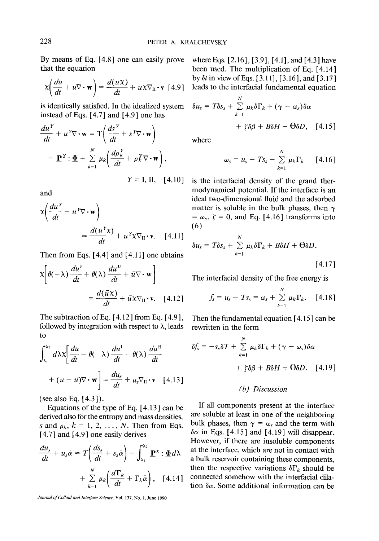By means of Eq. [4.8] one can easily prove that the equation

$$
\chi \bigg( \frac{du}{dt} + u \nabla \cdot \mathbf{w} \bigg) = \frac{d(u\chi)}{dt} + u \chi \nabla_{\mathbf{H}} \cdot \mathbf{v} \quad [4.9]
$$

is identically satisfied. In the idealized system instead of Eqs. [4.7] and [4.9] one has

$$
\frac{du^{Y}}{dt} + u^{Y} \nabla \cdot \mathbf{w} = \mathbf{T} \left( \frac{ds^{Y}}{dt} + s^{Y} \nabla \cdot \mathbf{w} \right)
$$

$$
- \underline{\mathbf{P}}^{Y} : \underline{\Phi} + \sum_{k=1}^{N} \mu_{k} \left( \frac{d\rho_{k}^{Y}}{dt} + \rho_{k}^{Y} \nabla \cdot \mathbf{w} \right),
$$

$$
Y = \mathbf{I} \cdot \mathbf{H} = \mathbf{I} \cdot \mathbf{A} \cdot \mathbf{I} \cdot \mathbf{A} \cdot \mathbf{I} \cdot \mathbf{A} \cdot \mathbf{I} \cdot \mathbf{A} \cdot \mathbf{I} \cdot \mathbf{A} \cdot \mathbf{I} \cdot \mathbf{A} \cdot \mathbf{I} \cdot \mathbf{A} \cdot \mathbf{I} \cdot \mathbf{A} \cdot \mathbf{I} \cdot \mathbf{A} \cdot \mathbf{I} \cdot \mathbf{A} \cdot \mathbf{I} \cdot \mathbf{A} \cdot \mathbf{I} \cdot \mathbf{A} \cdot \mathbf{I} \cdot \mathbf{A} \cdot \mathbf{I} \cdot \mathbf{A} \cdot \mathbf{I} \cdot \mathbf{A} \cdot \mathbf{I} \cdot \mathbf{A} \cdot \mathbf{I} \cdot \mathbf{A} \cdot \mathbf{I} \cdot \mathbf{A} \cdot \mathbf{I} \cdot \mathbf{A} \cdot \mathbf{I} \cdot \mathbf{A} \cdot \mathbf{I} \cdot \mathbf{A} \cdot \mathbf{I} \cdot \mathbf{A} \cdot \mathbf{I} \cdot \mathbf{A} \cdot \mathbf{I} \cdot \mathbf{A} \cdot \mathbf{I} \cdot \mathbf{A} \cdot \mathbf{I} \cdot \mathbf{A} \cdot \mathbf{I} \cdot \mathbf{A} \cdot \mathbf{I} \cdot \mathbf{A} \cdot \mathbf{I} \cdot \mathbf{A} \cdot \mathbf{I} \cdot \mathbf{A} \cdot \mathbf{I} \cdot \mathbf{A} \cdot \mathbf{I} \cdot \mathbf{A} \cdot \mathbf{I} \cdot \mathbf{A} \cdot \mathbf{I} \cdot \mathbf{A} \cdot \mathbf{I} \cdot \mathbf{A} \cdot \mathbf{I} \cdot \mathbf{A} \cdot \mathbf{I} \cdot \math
$$

and

$$
x\left(\frac{du^{Y}}{dt} + u^{Y} \nabla \cdot \mathbf{w}\right)
$$
  
= 
$$
\frac{d(u^{Y}x)}{dt} + u^{Y}x \nabla_{\mathbf{u}} \cdot \mathbf{v}.
$$
 [4.11]

Then from Eqs. [4.4] and [4.11] one obtains

$$
\chi \left[ \theta(-\lambda) \frac{du^1}{dt} + \theta(\lambda) \frac{du^n}{dt} + \bar{u} \nabla \cdot \mathbf{w} \right]
$$

$$
= \frac{d(\bar{u}\chi)}{dt} + \bar{u}\chi \nabla_{\Pi} \cdot \mathbf{v}. \quad [4.12]
$$

The subtraction of Eq. [4.12] from Eq. [4.9], followed by integration with respect to  $\lambda$ , leads to

$$
\int_{\lambda_1}^{\lambda_2} d\lambda \chi \left[ \frac{du}{dt} - \theta(-\lambda) \frac{du^{\mathrm{I}}}{dt} - \theta(\lambda) \frac{du^{\mathrm{II}}}{dt} + (u - \bar{u}) \nabla \cdot \mathbf{w} \right] = \frac{du_s}{dt} + u_s \nabla \mathbf{u} \cdot \mathbf{v} \quad [4.13]
$$

(see also Eq. [ 4.3 ] ).

Equations of the type of Eq. [4.13] can be derived also for the entropy and mass densities, s and  $\rho_k$ ,  $k = 1, 2, \ldots, N$ . Then from Eqs. [4.7] and [4.9] one easily derives

$$
\frac{du_s}{dt} + u_s \dot{\alpha} = T \left( \frac{ds_s}{dt} + s_s \dot{\alpha} \right) - \int_{\lambda_1}^{\lambda_2} \underline{\mathbf{P}}^x : \underline{\Phi} d\lambda
$$

$$
+ \sum_{k=1}^N \mu_k \left( \frac{d\Gamma_k}{dt} + \Gamma_k \dot{\alpha} \right), \quad [4.14]
$$

*Journal of Colloid and Interface Science,* Vol. 137, No. 1, June 1990

where Eqs. [2.16], [3.9], [4.1], and [4.31 have been used. The multiplication of Eq. [ 4.14 ] by  $\delta t$  in view of Eqs. [3.11], [3.16], and [3.17] leads to the interfacial fundamental equation

$$
\delta u_s = T \delta s_s + \sum_{k=1}^N \mu_k \delta \Gamma_k + (\gamma - \omega_s) \delta \alpha + \zeta \delta \beta + B \delta H + \Theta \delta D, \quad [4.15]
$$

where

$$
\omega_s = u_s - T s_s - \sum_{k=1}^N \mu_k \Gamma_k \qquad [4.16]
$$

 $Y = I$ , II, [4.10] is the interfacial density of the grand thermodynamical potential. If the interface is an ideal two-dimensional fluid and the adsorbed matter is soluble in the bulk phases, then  $\gamma$  $= \omega_s, \zeta = 0$ , and Eq. [4.16] transforms into (6)

$$
\delta u_s = T \delta s_s + \sum_{k=1}^N \mu_k \delta \Gamma_k + B \delta H + \Theta \delta D.
$$
 [4.17]

The interfacial density of the free energy is

$$
f_s = u_s - T s_s = \omega_s + \sum_{k=1}^N \mu_k \Gamma_k. \quad [4.18]
$$

Then the fundamental equation [4.15 ] can be rewritten in the form

$$
\delta f_s = -s_s \delta T + \sum_{k=1}^N \mu_k \delta \Gamma_k + (\gamma - \omega_s) \delta \alpha + \zeta \delta \beta + B \delta H + \Theta \delta D. \quad [4.19]
$$

## *(b) Discussion*

If all components present at the interface are soluble at least in one of the neighboring bulk phases, then  $\gamma = \omega_s$  and the term with  $\delta \alpha$  in Eqs. [4.15] and [4.19] will disappear. However, if there are insoluble components at the interface, which are not in contact with a bulk reservoir containing these components, then the respective variations  $\delta \Gamma_k$  should be connected somehow with the interfacial dilation  $\delta \alpha$ . Some additional information can be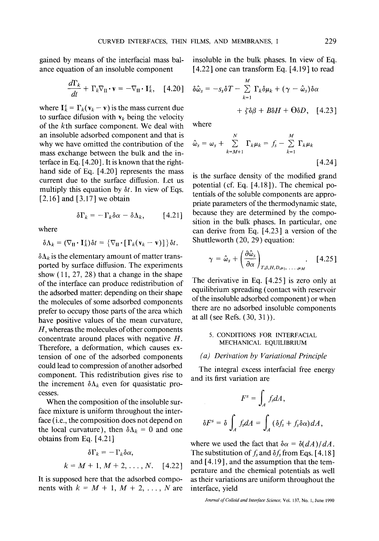gained by means of the interfacial mass balance equation of an insoluble component

$$
\frac{d\Gamma_k}{dt} + \Gamma_k \nabla_{\Pi} \cdot \mathbf{v} = -\nabla_{\Pi} \cdot \mathbf{I}_k^s, \quad [4.20]
$$

where  $I_k^s = \Gamma_k(\mathbf{v}_k - \mathbf{v})$  is the mass current due to surface difusion with  $v_k$  being the velocity of the kth surface component. We deal with an insoluble adsorbed component and that is why we have omitted the contribution of the mass exchange between the bulk and the interface in Eq. [4.20]. It is known that the righthand side of Eq. [4.20] represents the mass current due to the surface diffusion. Let us multiply this equation by *6t.* In view of Eqs.  $[2.16]$  and  $[3.17]$  we obtain

$$
\delta\Gamma_k = -\Gamma_k \delta\alpha - \delta\Lambda_k, \qquad [4.21]
$$

where

$$
\delta\Lambda_k = (\nabla_{\mathrm{II}} \cdot \mathbf{I}_k^s) \delta t = \{ \nabla_{\mathrm{II}} \cdot [\Gamma_k(\mathbf{v}_k - \mathbf{v})] \} \delta t.
$$

 $\delta \Lambda_k$  is the elementary amount of matter transported by surface diffusion. The experiments show  $(11, 27, 28)$  that a change in the shape of the interface can produce redistribution of the adsorbed matter: depending on their shape the molecules of some adsorbed components prefer to occupy those parts of the area which have positive values of the mean curvature,  $H$ , whereas the molecules of other components concentrate around places with negative H. Therefore, a deformation, which causes extension of one of the adsorbed components could lead to compression of another adsorbed component. This redistribution gives rise to the increment  $\delta \Lambda_k$  even for quasistatic processes.

When the composition of the insoluble surface mixture is uniform throughout the interface (i.e., the composition does not depend on the local curvature), then  $\delta \Lambda_k = 0$  and one obtains from Eq. [4.21]

$$
\delta\Gamma_k = -\Gamma_k \delta\alpha,
$$
  

$$
k = M + 1, M + 2, ..., N. \quad [4.22]
$$

It is supposed here that the adsorbed components with  $k = M + 1$ ,  $M + 2$ , ..., N are insoluble in the bulk phases. In view of Eq.  $[4.22]$  one can transform Eq.  $[4.19]$  to read

$$
\delta \hat{\omega}_s = -s_s \delta T - \sum_{k=1}^M \Gamma_k \delta \mu_k + (\gamma - \hat{\omega}_s) \delta \alpha + \zeta \delta \beta + B \delta H + \Theta \delta D, \quad [4.23]
$$

where

$$
\hat{\omega}_s = \omega_s + \sum_{k=M+1}^{N} \Gamma_k \mu_k = f_s - \sum_{k=1}^{M} \Gamma_k \mu_k
$$
\n[4.24]

is the surface density of the modified grand potential (cf. Eq. [4.18]). The chemical potentials of the soluble components are appropriate parameters of the thermodynamic state, because they are determined by the composition in the bulk phases. In particular, one can derive from Eq. [4.23] a version of the Shuttleworth (20, 29) equation:

$$
\gamma = \hat{\omega}_s + \left(\frac{\partial \hat{\omega}_s}{\partial \alpha}\right)_{T, \beta, H, D, \mu_1, \ldots, \mu_M} \quad [4.25]
$$

The derivative in Eq. [4.25] is zero only at equilibrium spreading (contact with reservoir of the insoluble adsorbed component) or when there are no adsorbed insoluble components at all (see Refs. (30, 31)).

#### 5. CONDITIONS FOR INTERFACIAL MECHANICAL EQUILIBRIUM

### *(a) Derivation by Variational Principle*

The integral excess interfacial free energy and its first variation are

$$
F^{s} = \int_{A} f_{s} dA,
$$

$$
\delta F^{s} = \delta \int_{A} f_{s} dA = \int_{A} (\delta f_{s} + f_{s} \delta \alpha) dA,
$$

where we used the fact that  $\delta \alpha = \delta (dA)/dA$ . The substitution of  $f_s$  and  $\delta f_s$  from Eqs. [4.18] and [4.19 ], and the assumption that the temperature and the chemical potentials as well as their variations are uniform throughout the interface, yield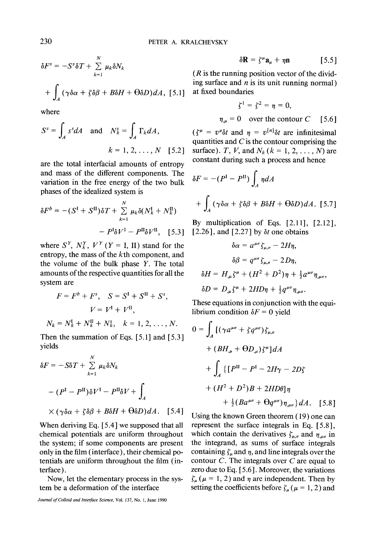$$
\delta F^{s} = -S^{s} \delta T + \sum_{k=1}^{N} \mu_{k} \delta N_{k}
$$

$$
+ \int_{A} (\gamma \delta \alpha + \zeta \delta \beta + B \delta H + \Theta \delta D) dA, [5.1]
$$

where

$$
S^{s} = \int_{A} s^{s} dA \quad \text{and} \quad N_{k}^{s} = \int_{A} \Gamma_{k} dA,
$$

$$
k = 1, 2, ..., N \quad [5.2]
$$

are the total interfacial amounts of entropy and mass of the different components. The variation in the free energy of the two bulk phases of the idealized system is

$$
\delta F^{b} = -(S^{I} + S^{II})\delta T + \sum_{k=1}^{N} \mu_{k}\delta(N_{k}^{I} + N_{k}^{II})
$$

$$
- P^{I}\delta V^{I} - P^{II}\delta V^{II}, \quad [5.3]
$$

where  $S^Y$ ,  $N_k^Y$ ,  $V^Y$  ( $Y = I$ , II) stand for the entropy, the mass of the kth component, and the volume of the bulk phase Y. The total amounts of the respective quantities for all the system are

$$
F = F^{b} + F^{s}, \quad S = S^{I} + S^{II} + S^{s},
$$

$$
V = V^{I} + V^{II},
$$

$$
N_{k} = N_{k}^{I} + N_{k}^{II} + N_{k}^{s}, \quad k = 1, 2, ..., N.
$$

Then the summation of Eqs. [5.1] and [5.3] yields

$$
\delta F = -S\delta T + \sum_{k=1}^{N} \mu_k \delta N_k
$$
  
-  $(P^{\mathrm{I}} - P^{\mathrm{II}}) \delta V^{\mathrm{I}} - P^{\mathrm{II}} \delta V + \int_{A}$   
×  $(\gamma \delta \alpha + \zeta \delta \beta + B \delta H + \Theta \delta D) dA$ . [5.4]

When deriving Eq. [ 5.4 ] we supposed that all chemical potentials are uniform throughout the system; if some components are present only in the film (interface), their chemical potentials are uniform throughout the film (interface).

Now, let the elementary process in the system be a deformation of the interface

$$
\delta \mathbf{R} = \zeta^{\mu} \mathbf{a}_{\mu} + \eta \mathbf{n} \qquad [5.5]
$$

 $(R)$  is the running position vector of the dividing surface and  $n$  is its unit running normal) at fixed boundaries

$$
\zeta^1 = \zeta^2 = \eta = 0,
$$
  

$$
\eta_{,\mu} = 0 \quad \text{over the contour } C \quad [5.6]
$$

 $(\zeta^{\mu} = v^{\mu}\delta t$  and  $\eta = v^{[n]}\delta t$  are infinitesimal quantities and  $C$  is the contour comprising the surface). T, V, and  $N_k$  ( $k = 1, 2, \ldots, N$ ) are constant during such a process and hence

$$
\delta F = -(P^{\rm I} - P^{\rm II}) \int_A \eta dA
$$
  
+ 
$$
\int_A (\gamma \delta \alpha + \zeta \delta \beta + B \delta H + \Theta \delta D) dA.
$$
 [5.7]

By multiplication of Eqs. [2.11], [2.12], [2.26], and [2.27] by  $\delta t$  one obtains

$$
\delta \alpha = a^{\mu\sigma} \zeta_{\mu,\sigma} - 2H\eta,
$$
  
\n
$$
\delta \beta = q^{\mu\sigma} \zeta_{\mu,\sigma} - 2D\eta,
$$
  
\n
$$
\delta H = H_{,\mu} \zeta^{\mu} + (H^2 + D^2)\eta + \frac{1}{2} a^{\mu\sigma} \eta_{,\mu\sigma},
$$
  
\n
$$
\delta D = D_{,\mu} \zeta^{\mu} + 2HD\eta + \frac{1}{2} q^{\mu\sigma} \eta_{,\mu\sigma}.
$$

These equations in conjunction with the equilibrium condition  $\delta F = 0$  yield

$$
0 = \int_A \left[ (\gamma a^{\mu\sigma} + \zeta q^{\mu\sigma}) \zeta_{\mu,\sigma} \right]
$$
  
+ 
$$
(BH_{,\mu} + \Theta D_{,\mu}) \zeta^{\mu} \right] dA
$$
  
+ 
$$
\int_A \left\{ \left[ P^{\Pi} - P^{\Pi} - 2H\gamma - 2D\zeta \right] + (H^2 + D^2)B + 2HD\theta \right] \eta
$$
  
+ 
$$
\frac{1}{2} (Ba^{\mu\sigma} + \Theta q^{\mu\sigma}) \eta_{,\mu\sigma} \right\} dA.
$$
 [5.8]

Using the known Green theorem (19) one can represent the surface integrals in Eq. [5.8], which contain the derivatives  $\zeta_{\mu,\sigma}$  and  $\eta_{,\mu\sigma}$  in the integrand, as sums of surface integrals containing  $\zeta_{\mu}$  and  $\eta$ , and line integrals over the contour  $C$ . The integrals over  $C$  are equal to zero due to Eq. [ 5.6 ]. Moreover, the variations  $\zeta_{\mu}$  ( $\mu$  = 1, 2) and  $\eta$  are independent. Then by setting the coefficients before  $\zeta_{\mu} (\mu = 1, 2)$  and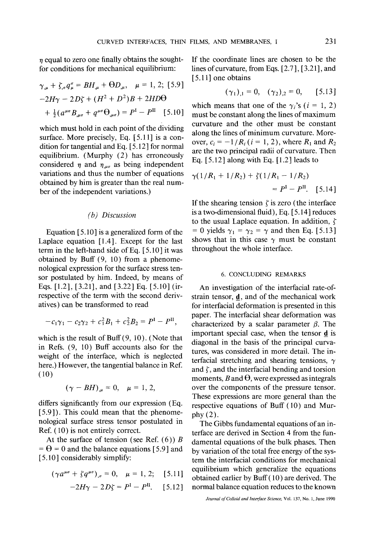$n$  equal to zero one finally obtains the soughtfor conditions for mechanical equilibrium:

$$
\gamma_{,\mu} + \zeta_{,\sigma} q_{\mu}^{\sigma} = BH_{,\mu} + \Theta D_{,\mu}, \quad \mu = 1, 2; [5.9]
$$
  
-2H $\gamma$  - 2D $\zeta$  + (H<sup>2</sup> + D<sup>2</sup>)B + 2HD $\Theta$   
+  $\frac{1}{2}$ (a <sup>$\mu\sigma$</sup> B<sub>, $\mu\sigma$</sub>  + q <sup>$\mu\sigma$</sup>  $\Theta_{,\mu\sigma}$ ) = P<sup>I</sup> - P<sup>II</sup> [5.10]

which must hold in each point of the dividing surface. More precisely, Eq. [5.11] is a condition for tangential and Eq. [ 5.12 ] for normal equilibrium. (Murphy (2) has erroneously considered  $\eta$  and  $\eta_{\mu\sigma}$  as being independent variations and thus the number of equations obtained by him is greater than the real number of the independent variations.)

### *(b) Discussion*

Equation [5.10] is a generalized form of the Laplace equation [1.4]. Except for the last term in the left-hand side of Eq. [ 5.10 ] it was obtained by Buff (9, 10) from a phenomenological expression for the surface stress tensor postulated by him. Indeed, by means of Eqs. [1.21, [3.21], and [3.22] Eq. [5.10] (irrespective of the term with the second derivatives) can be transformed to read

$$
-c_1\gamma_1 - c_2\gamma_2 + c_1^2B_1 + c_2^2B_2 = P^{\rm I} - P^{\rm II},
$$

which is the result of Buff $(9, 10)$ . (Note that in Refs. (9, 10) Buff accounts also for the weight of the interface, which is neglected here.) However, the tangential balance in Ref. (10)

$$
(\gamma - BH)_{,\mu} = 0, \quad \mu = 1, 2,
$$

differs significantly from our expression (Eq. [5.9]). This could mean that the phenomenological surface stress tensor postulated in Ref. (10) is not entirely correct.

At the surface of tension (see Ref.  $(6)$ ) B  $= \Theta = 0$  and the balance equations [5.9] and [5.10] considerably simplify:

$$
(\gamma a^{\mu\sigma} + \zeta q^{\mu\sigma})_{,\sigma} = 0, \quad \mu = 1, 2; \quad [5.11]
$$

$$
-2H\gamma - 2D\zeta = P^{I} - P^{II}. \quad [5.12]
$$

If the coordinate lines are chosen to be the lines of curvature, from Eqs. [ 2.7 ], [ 3.21 ], and [5.11] one obtains

$$
(\gamma_1)_{,1} = 0
$$
,  $(\gamma_2)_{,2} = 0$ , [5.13]

which means that one of the  $\gamma_i$ 's ( $i = 1, 2$ ) must be constant along the lines of maximum curvature and the other must be constant along the lines of minimum curvature. Moreover,  $c_i = -1/R_i$  ( $i = 1, 2$ ), where  $R_1$  and  $R_2$ are the two principal radii of curvature. Then Eq. [5.12] along with Eq. [1.2] leads to

$$
\gamma(1/R_1 + 1/R_2) + \zeta(1/R_1 - 1/R_2)
$$
  
=  $P^I - P^{II}$ . [5.14]

If the shearing tension  $\zeta$  is zero (the interface is a two-dimensional fluid), Eq. [5.14] reduces to the usual Laplace equation. In addition,  $\zeta$ = 0 yields  $\gamma_1 = \gamma_2 = \gamma$  and then Eq. [5.13] shows that in this case  $\gamma$  must be constant throughout the whole interface.

### 6. CONCLUDING REMARKS

An investigation of the interfacial rate-ofstrain tensor,  $\mathbf{d}$ , and of the mechanical work for interfacial deformation is presented in this paper. The interfacial shear deformation was characterized by a scalar parameter  $\beta$ . The important special case, when the tensor d is diagonal in the basis of the principal curvatures, was considered in more detail. The interfacial stretching and shearing tensions,  $\gamma$ and  $\zeta$ , and the interfacial bending and torsion moments, B and  $\Theta$ , were expressed as integrals over the components of the pressure tensor. These expressions are more general than the respective equations of Buff (10) and Murphy (2).

The Gibbs fundamental equations of an interface are derived in Section 4 from the fundamental equations of the bulk phases. Then by variation of the total free energy of the system the interfacial conditions for mechanical equilibrium which generalize the equations obtained earlier by Buff(10) are derived. The normal balance equation reduces to the known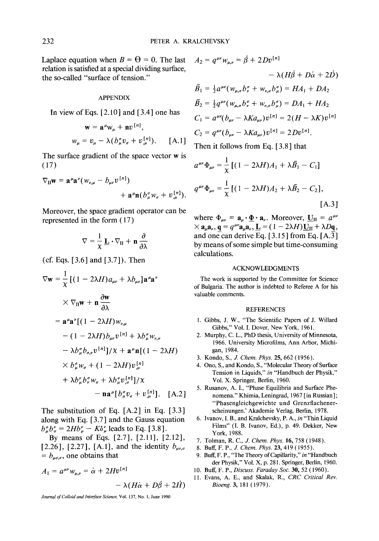Laplace equation when  $B = \Theta = 0$ . The last relation is satisfied at a special dividing surface, the so-called "surface of tension."

#### APPENDIX

In view of Eqs.  $[2.10]$  and  $[3.4]$  one has

$$
\mathbf{w} = \mathbf{a}^{\mu} \mathbf{w}_{\mu} + \mathbf{n} v^{\lfloor n \rfloor},
$$
  

$$
w_{\mu} = v_{\mu} - \lambda (b_{\mu}^{\sigma} v_{\sigma} + v_{,\mu}^{\{n\}}).
$$
 [A.1]

The surface gradient of the space vector w is (17)

$$
\nabla_{\mathbf{H}}\mathbf{w} = \mathbf{a}^{\mu}\mathbf{a}^{\nu}(\mathbf{w}_{\nu,\mu} - b_{\mu\nu}v^{[n]}) + \mathbf{a}^{\mu}\mathbf{n}(b_{\mu}^{\sigma}\mathbf{w}_{\sigma} + v_{,\mu}^{[n]}).
$$

Moreover, the space gradient operator can be represented in the form ( 17 )

$$
\nabla = \frac{1}{\chi}\,\underline{\mathbf{L}}\boldsymbol{\cdot}\nabla_{\mathbf{II}} + \mathbf{n}\,\frac{\partial}{\partial \lambda}
$$

(cf. Eqs. [3.6] and [3.7]). Then

$$
\nabla \mathbf{w} = \frac{1}{\chi} \left[ (1 - 2\lambda H) a_{\mu\nu} + \lambda b_{\mu\nu} \right] \mathbf{a}^{\mu} \mathbf{a}^{\nu}
$$
  
\n
$$
\times \nabla_{\Pi} \mathbf{w} + \mathbf{n} \frac{\partial \mathbf{w}}{\partial \lambda}
$$
  
\n
$$
= \mathbf{a}^{\mu} \mathbf{a}^{\nu} \left[ (1 - 2\lambda H) w_{\nu,\mu} \right. \newline - (1 - 2\lambda H) b_{\mu\nu} v^{[n]} + \lambda b^{\sigma}_{\mu} w_{\nu,\sigma}
$$
  
\n
$$
- \lambda b^{\sigma}_{\mu} b_{\sigma,\nu} v^{[n]} / \lambda + \mathbf{a}^{\mu} \mathbf{n} \left[ (1 - 2\lambda H) \right. \newline \times b^{\sigma}_{\mu} w_{\sigma} + (1 - 2\lambda H) v^{[n]}_{\mu} \newline + \lambda b^{\sigma}_{\mu} b^{\sigma}_{\nu} w_{\sigma} + \lambda b^{\sigma}_{\mu} v^{[n]}_{\sigma} \right] / \lambda
$$
  
\n
$$
- \mathbf{n} \mathbf{a}^{\mu} \left[ b^{\sigma}_{\mu} v_{\sigma} + v^{[n]}_{\mu} \right]. \quad [A.2]
$$

The substitution of Eq. [A.2] in Eq. [3.3] along with Eq. [ 3.7 ] and the Gauss equation  $b_{\mu}^{\sigma}b_{\sigma}^{\nu} = 2Hb_{\mu}^{\nu} - K\delta_{\mu}^{\nu}$  leads to Eq. [3.8].

By means of Eqs. [2.7], [2.11], [2.12], [2.26], [2.27], [A.1], and the identity  $b_{\mu\nu,\sigma}$  $= b_{\mu\sigma,\nu}$ , one obtains that

$$
A_1 = a^{\mu\nu} w_{\mu,\nu} = \dot{\alpha} + 2Hv^{[n]}
$$

$$
- \lambda (H\dot{\alpha} + D\dot{\beta} + 2\dot{H})
$$

*Journal of Colloid and Interface Science,* Vol. 137, No. 1, June 1990

$$
A_2 = q^{\mu\nu} w_{\mu,\nu} = \beta + 2Dv^{\lfloor n \rfloor}
$$
  
\n
$$
- \lambda (H\dot{\beta} + D\dot{\alpha} + 2D)
$$
  
\n
$$
\bar{B}_1 = \frac{1}{2} a^{\mu\nu} (w_{\mu,\sigma} b^{\sigma}_{\nu} + w_{\nu,\sigma} b^{\sigma}_{\mu}) = HA_1 + DA_2
$$
  
\n
$$
\bar{B}_2 = \frac{1}{2} q^{\mu\nu} (w_{\mu,\sigma} b^{\sigma}_{\nu} + w_{\nu,\sigma} b^{\sigma}_{\mu}) = DA_1 + HA_2
$$
  
\n
$$
C_1 = a^{\mu\nu} (b_{\mu\nu} - \lambda K a_{\mu\nu}) v^{\lfloor n \rfloor} = 2(H - \lambda K) v^{\lfloor n \rfloor}
$$
  
\n
$$
C_2 = q^{\mu\nu} (b_{\mu\nu} - \lambda K a_{\mu\nu}) v^{\lfloor n \rfloor} = 2Dv^{\lfloor n \rfloor}.
$$
  
\nThen it follows from Eq. [3.8] that

 $a^{\mu\nu}\Phi_{\mu\nu} = \frac{1}{\nu} \left[ (1 - 2\lambda H) A_1 + \lambda \bar{B}_1 - C_1 \right]$  $q^{\mu\nu}\Phi_{\mu\nu} = \frac{1}{N} [(1 - 2\lambda H)A_2 + \lambda \bar{B}_2 - C_2],$ [A.3]

where  $\Phi_{uv} = \mathbf{a}_u \cdot \mathbf{\Phi} \cdot \mathbf{a}_v$ . Moreover,  $\mathbf{U}_{II} = a^{\mu \nu}$  $\times$   $\mathbf{a}_u \mathbf{a}_v$ ,  $\mathbf{q} = q^{\mu\nu} \mathbf{a}_u \mathbf{a}_v$ ,  $\mathbf{L} = (1 - 2\lambda H) \mathbf{U}_{\text{II}} + \lambda D\mathbf{q}$ , and one can derive Eq.  $[3.15]$  from Eq.  $[A.\overline{3}]$ by means of some simple but time-consuming calculations.

#### ACKNOWLEDGMENTS

The work is supported by the Committee for Science of Bulgaria. The author is indebted to Referee A for his valuable comments.

#### REFERENCES

- 1. Gibbs, J. W., "The Scientific Papers of J. Willard Gibbs," Vol. I. Dover, New York, 1961.
- 2. Murphy, C. L., PhD thesis, University of Minnesota, 1966. University Microfilms, Ann Arbor, Michigan, 1984.
- 3. Kondo, S., J. *Chem. Phys.* 25, 662 (1956).
- 4. Ono, S., and Kondo, S., "Molecular Theory of Surface Tension in Liquids," *in* "Handbuch der Physik," Vol. X. Springer, Berlin, 1960.
- 5. Rusanov, A. I., "Phase Equilibria and Surface Phenomena." Khimia, Leningrad, 1967 [in Russian ]; "Phasengleichgewichte und Grenzflachenerscheinungen.' Akademie Verlag, Berlin, 1978.
- 6. Ivanov, I. B., and Kralchevsky, P. A., *in* "Thin Liquid Films" (I. B. Ivanov, Ed.), p. 49. Dekker, New York, 1988.
- 7. Tolman, R. C., J. *Chem. Phys.* 16, 758 (1948).
- 8. Buff, F. P., Z *Chem. Phys.* 23, 419 (1955).
- 9. Buff, F. P., "The Theory of Capillarity," *in* "Handbuch der Physik," VoL X, p. 281. Springer, Berlin, 1960.
- 10, Buff, F. P., *Discuss. FaradaySoc.* 30, 52 (1960).
- 11. Evans, A. E., and Skalak, R., *CRC Critical Rev. Bioeng.* 3, 181 (1979).